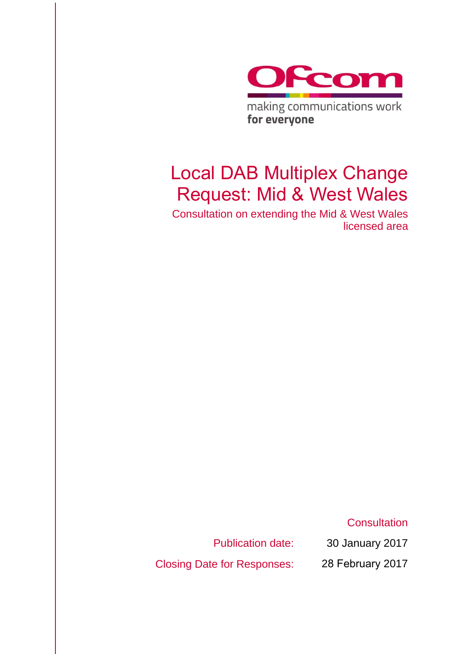

making communications work for everyone

# Local DAB Multiplex Change Request: Mid & West Wales

Consultation on extending the Mid & West Wales licensed area

**Consultation** 

Publication date:

Closing Date for Responses:

30 January 2017 28 February 2017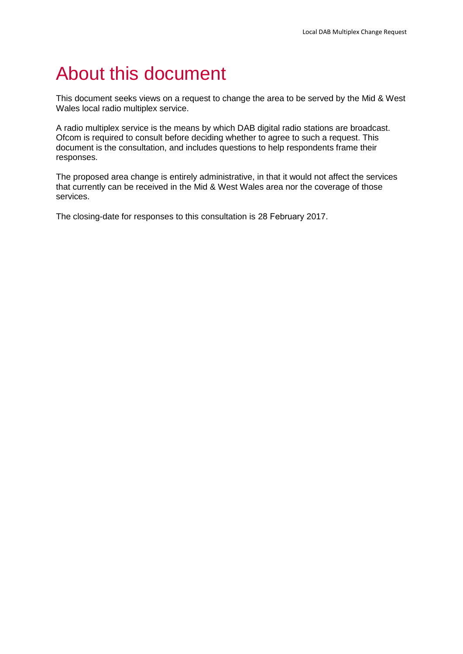# About this document

This document seeks views on a request to change the area to be served by the Mid & West Wales local radio multiplex service.

A radio multiplex service is the means by which DAB digital radio stations are broadcast. Ofcom is required to consult before deciding whether to agree to such a request. This document is the consultation, and includes questions to help respondents frame their responses.

The proposed area change is entirely administrative, in that it would not affect the services that currently can be received in the Mid & West Wales area nor the coverage of those services.

The closing-date for responses to this consultation is 28 February 2017.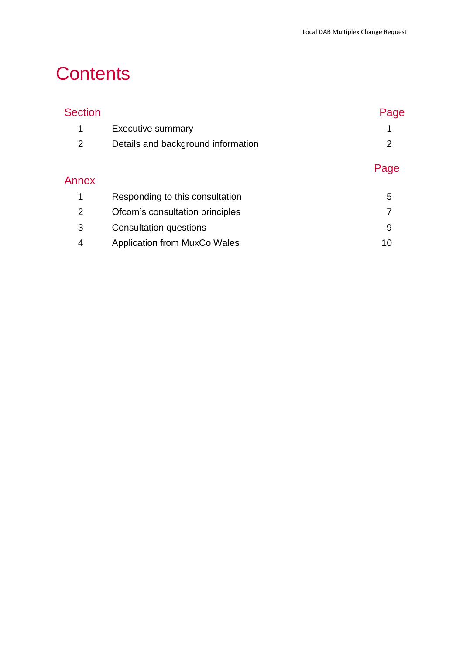# **Contents**

| <b>Section</b> |                                     | Page |
|----------------|-------------------------------------|------|
| 1              | <b>Executive summary</b>            | 1    |
| $\overline{2}$ | Details and background information  | 2    |
|                |                                     | Page |
| Annex          |                                     |      |
| 1              | Responding to this consultation     | 5    |
| 2              | Ofcom's consultation principles     | 7    |
| 3              | <b>Consultation questions</b>       | 9    |
| 4              | <b>Application from MuxCo Wales</b> | 10   |
|                |                                     |      |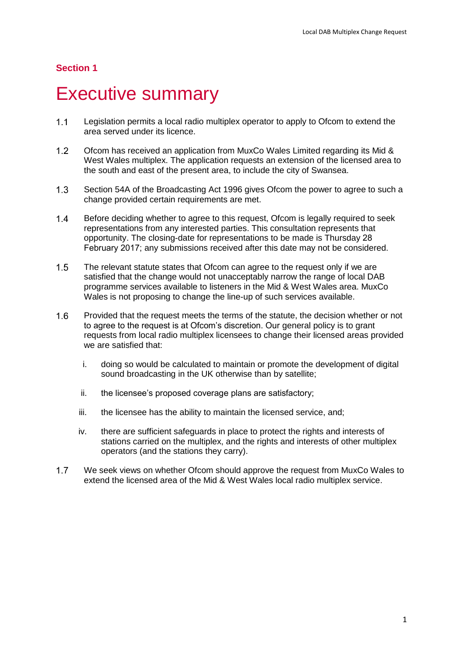#### **Section 1**

# <span id="page-3-0"></span>**Executive summary**

- $1.1$ Legislation permits a local radio multiplex operator to apply to Ofcom to extend the area served under its licence.
- $1.2$ Ofcom has received an application from MuxCo Wales Limited regarding its Mid & West Wales multiplex. The application requests an extension of the licensed area to the south and east of the present area, to include the city of Swansea.
- $1.3$ Section 54A of the Broadcasting Act 1996 gives Ofcom the power to agree to such a change provided certain requirements are met.
- $14$ Before deciding whether to agree to this request, Ofcom is legally required to seek representations from any interested parties. This consultation represents that opportunity. The closing-date for representations to be made is Thursday 28 February 2017; any submissions received after this date may not be considered.
- $1.5$ The relevant statute states that Ofcom can agree to the request only if we are satisfied that the change would not unacceptably narrow the range of local DAB programme services available to listeners in the Mid & West Wales area. MuxCo Wales is not proposing to change the line-up of such services available.
- $1.6$ Provided that the request meets the terms of the statute, the decision whether or not to agree to the request is at Ofcom's discretion. Our general policy is to grant requests from local radio multiplex licensees to change their licensed areas provided we are satisfied that:
	- i. doing so would be calculated to maintain or promote the development of digital sound broadcasting in the UK otherwise than by satellite;
	- ii. the licensee's proposed coverage plans are satisfactory;
	- iii. the licensee has the ability to maintain the licensed service, and;
	- iv. there are sufficient safeguards in place to protect the rights and interests of stations carried on the multiplex, and the rights and interests of other multiplex operators (and the stations they carry).
- $1.7$ We seek views on whether Ofcom should approve the request from MuxCo Wales to extend the licensed area of the Mid & West Wales local radio multiplex service.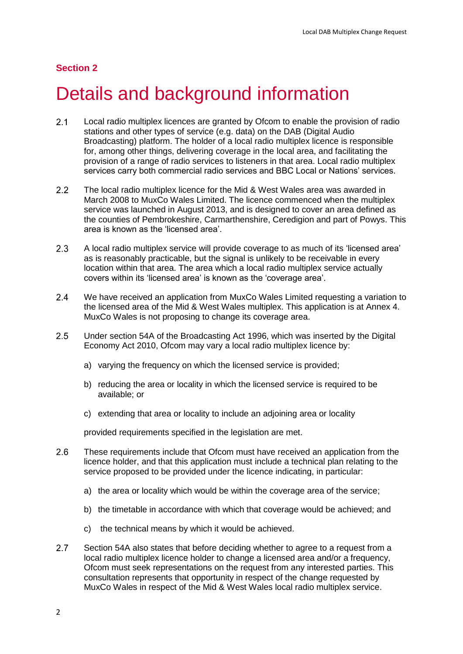#### **Section 2**

# <span id="page-4-0"></span>Details and background information

- $2.1$ Local radio multiplex licences are granted by Ofcom to enable the provision of radio stations and other types of service (e.g. data) on the DAB (Digital Audio Broadcasting) platform. The holder of a local radio multiplex licence is responsible for, among other things, delivering coverage in the local area, and facilitating the provision of a range of radio services to listeners in that area. Local radio multiplex services carry both commercial radio services and BBC Local or Nations' services.
- 2.2 The local radio multiplex licence for the Mid & West Wales area was awarded in March 2008 to MuxCo Wales Limited. The licence commenced when the multiplex service was launched in August 2013, and is designed to cover an area defined as the counties of Pembrokeshire, Carmarthenshire, Ceredigion and part of Powys. This area is known as the 'licensed area'.
- $2.3$ A local radio multiplex service will provide coverage to as much of its 'licensed area' as is reasonably practicable, but the signal is unlikely to be receivable in every location within that area. The area which a local radio multiplex service actually covers within its 'licensed area' is known as the 'coverage area'.
- $2.4$ We have received an application from MuxCo Wales Limited requesting a variation to the licensed area of the Mid & West Wales multiplex. This application is at Annex 4. MuxCo Wales is not proposing to change its coverage area.
- $2.5$ Under section 54A of the Broadcasting Act 1996, which was inserted by the Digital Economy Act 2010, Ofcom may vary a local radio multiplex licence by:
	- a) varying the frequency on which the licensed service is provided;
	- b) reducing the area or locality in which the licensed service is required to be available; or
	- c) extending that area or locality to include an adjoining area or locality

provided requirements specified in the legislation are met.

- $2.6$ These requirements include that Ofcom must have received an application from the licence holder, and that this application must include a technical plan relating to the service proposed to be provided under the licence indicating, in particular:
	- a) the area or locality which would be within the coverage area of the service;
	- b) the timetable in accordance with which that coverage would be achieved; and
	- c) the technical means by which it would be achieved.
- $2.7$ Section 54A also states that before deciding whether to agree to a request from a local radio multiplex licence holder to change a licensed area and/or a frequency, Ofcom must seek representations on the request from any interested parties. This consultation represents that opportunity in respect of the change requested by MuxCo Wales in respect of the Mid & West Wales local radio multiplex service.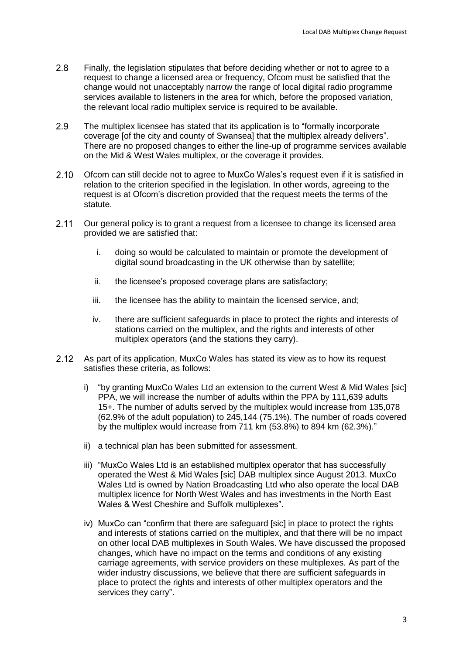- $2.8$ Finally, the legislation stipulates that before deciding whether or not to agree to a request to change a licensed area or frequency, Ofcom must be satisfied that the change would not unacceptably narrow the range of local digital radio programme services available to listeners in the area for which, before the proposed variation, the relevant local radio multiplex service is required to be available.
- 2.9 The multiplex licensee has stated that its application is to "formally incorporate coverage [of the city and county of Swansea] that the multiplex already delivers". There are no proposed changes to either the line-up of programme services available on the Mid & West Wales multiplex, or the coverage it provides.
- $2.10$ Ofcom can still decide not to agree to MuxCo Wales's request even if it is satisfied in relation to the criterion specified in the legislation. In other words, agreeing to the request is at Ofcom's discretion provided that the request meets the terms of the statute.
- $2.11$ Our general policy is to grant a request from a licensee to change its licensed area provided we are satisfied that:
	- i. doing so would be calculated to maintain or promote the development of digital sound broadcasting in the UK otherwise than by satellite;
	- ii. the licensee's proposed coverage plans are satisfactory;
	- iii. the licensee has the ability to maintain the licensed service, and;
	- iv. there are sufficient safeguards in place to protect the rights and interests of stations carried on the multiplex, and the rights and interests of other multiplex operators (and the stations they carry).
- $2.12$ As part of its application, MuxCo Wales has stated its view as to how its request satisfies these criteria, as follows:
	- i) "by granting MuxCo Wales Ltd an extension to the current West & Mid Wales [sic] PPA, we will increase the number of adults within the PPA by 111,639 adults 15+. The number of adults served by the multiplex would increase from 135,078 (62.9% of the adult population) to 245,144 (75.1%). The number of roads covered by the multiplex would increase from 711 km (53.8%) to 894 km (62.3%)."
	- ii) a technical plan has been submitted for assessment.
	- iii) "MuxCo Wales Ltd is an established multiplex operator that has successfully operated the West & Mid Wales [sic] DAB multiplex since August 2013. MuxCo Wales Ltd is owned by Nation Broadcasting Ltd who also operate the local DAB multiplex licence for North West Wales and has investments in the North East Wales & West Cheshire and Suffolk multiplexes".
	- iv) MuxCo can "confirm that there are safeguard [sic] in place to protect the rights and interests of stations carried on the multiplex, and that there will be no impact on other local DAB multiplexes in South Wales. We have discussed the proposed changes, which have no impact on the terms and conditions of any existing carriage agreements, with service providers on these multiplexes. As part of the wider industry discussions, we believe that there are sufficient safeguards in place to protect the rights and interests of other multiplex operators and the services they carry".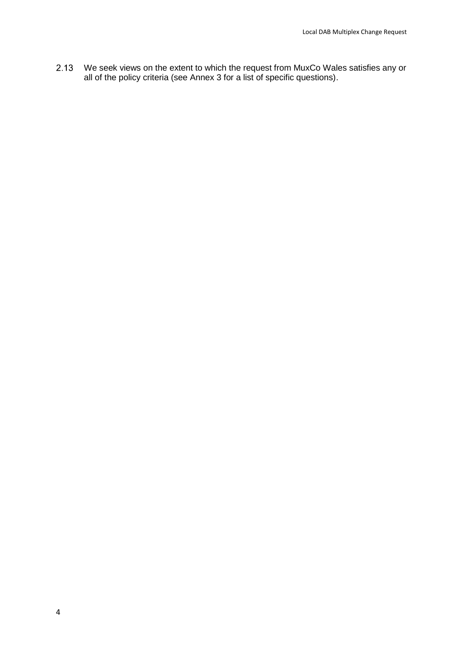$2.13$ We seek views on the extent to which the request from MuxCo Wales satisfies any or all of the policy criteria (see Annex 3 for a list of specific questions).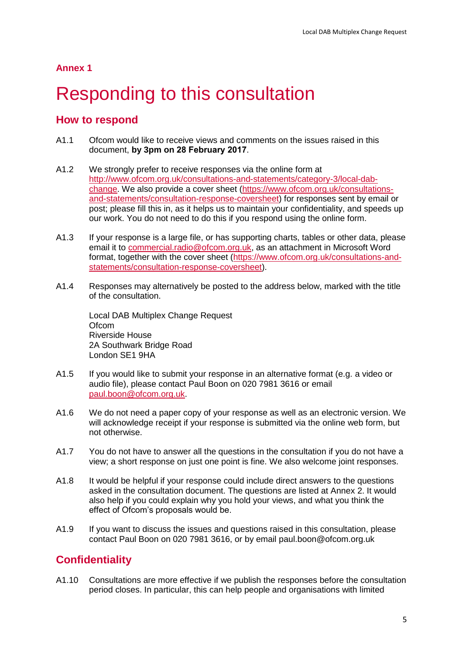# <span id="page-7-0"></span>**Responding to this consultation**

### **How to respond**

- A1.1 Ofcom would like to receive views and comments on the issues raised in this document, **by 3pm on 28 February 2017**.
- A1.2 We strongly prefer to receive responses via the online form at [http://www.ofcom.org.uk/consultations-and-statements/category-3/local-dab](http://www.ofcom.org.uk/consultations-and-statements/category-3/local-dab-change)[change.](http://www.ofcom.org.uk/consultations-and-statements/category-3/local-dab-change) We also provide a cover sheet [\(https://www.ofcom.org.uk/consultations](https://www.ofcom.org.uk/consultations-and-statements/consultation-response-coversheet)[and-statements/consultation-response-coversheet\)](https://www.ofcom.org.uk/consultations-and-statements/consultation-response-coversheet) for responses sent by email or post; please fill this in, as it helps us to maintain your confidentiality, and speeds up our work. You do not need to do this if you respond using the online form.
- A1.3 If your response is a large file, or has supporting charts, tables or other data, please email it to [commercial.radio@ofcom.org.uk,](mailto:commercial.radio@ofcom.org.uk) as an attachment in Microsoft Word format, together with the cover sheet [\(https://www.ofcom.org.uk/consultations-and](https://www.ofcom.org.uk/consultations-and-statements/consultation-response-coversheet)[statements/consultation-response-coversheet\)](https://www.ofcom.org.uk/consultations-and-statements/consultation-response-coversheet).
- A1.4 Responses may alternatively be posted to the address below, marked with the title of the consultation.

Local DAB Multiplex Change Request Ofcom Riverside House 2A Southwark Bridge Road London SE1 9HA

- A1.5 If you would like to submit your response in an alternative format (e.g. a video or audio file), please contact Paul Boon on 020 7981 3616 or email [paul.boon@ofcom.org.uk.](mailto:paul.boon@ofcom.org.uk)
- A1.6 We do not need a paper copy of your response as well as an electronic version. We will acknowledge receipt if your response is submitted via the online web form, but not otherwise.
- A1.7 You do not have to answer all the questions in the consultation if you do not have a view; a short response on just one point is fine. We also welcome joint responses.
- A1.8 It would be helpful if your response could include direct answers to the questions asked in the consultation document. The questions are listed at Annex 2. It would also help if you could explain why you hold your views, and what you think the effect of Ofcom's proposals would be.
- A1.9 If you want to discuss the issues and questions raised in this consultation, please contact Paul Boon on 020 7981 3616, or by email paul.boon@ofcom.org.uk

## **Confidentiality**

A1.10 Consultations are more effective if we publish the responses before the consultation period closes. In particular, this can help people and organisations with limited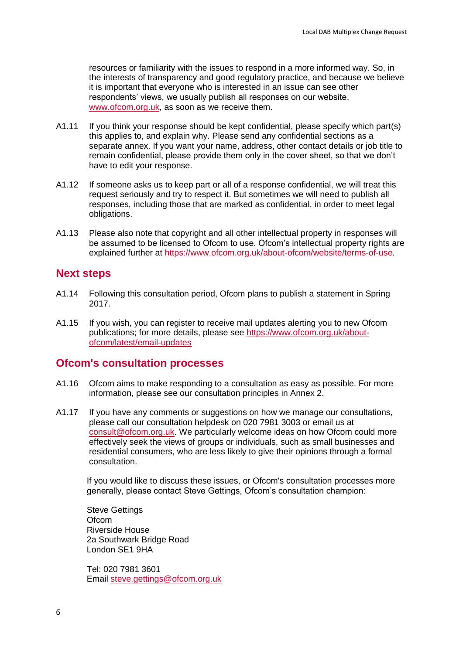resources or familiarity with the issues to respond in a more informed way. So, in the interests of transparency and good regulatory practice, and because we believe it is important that everyone who is interested in an issue can see other respondents' views, we usually publish all responses on our website, [www.ofcom.org.uk,](http://www.ofcom.org.uk/) as soon as we receive them.

- A1.11 If you think your response should be kept confidential, please specify which part(s) this applies to, and explain why. Please send any confidential sections as a separate annex. If you want your name, address, other contact details or job title to remain confidential, please provide them only in the cover sheet, so that we don't have to edit your response.
- A1.12 If someone asks us to keep part or all of a response confidential, we will treat this request seriously and try to respect it. But sometimes we will need to publish all responses, including those that are marked as confidential, in order to meet legal obligations.
- A1.13 Please also note that copyright and all other intellectual property in responses will be assumed to be licensed to Ofcom to use. Ofcom's intellectual property rights are explained further at [https://www.ofcom.org.uk/about-ofcom/website/terms-of-use.](https://www.ofcom.org.uk/about-ofcom/website/terms-of-use)

### **Next steps**

- A1.14 Following this consultation period, Ofcom plans to publish a statement in Spring 2017.
- A1.15 If you wish, you can register to receive mail updates alerting you to new Ofcom publications; for more details, please see [https://www.ofcom.org.uk/about](https://www.ofcom.org.uk/about-ofcom/latest/email-updates)[ofcom/latest/email-updates](https://www.ofcom.org.uk/about-ofcom/latest/email-updates)

#### **Ofcom's consultation processes**

- A1.16 Ofcom aims to make responding to a consultation as easy as possible. For more information, please see our consultation principles in Annex 2.
- A1.17 If you have any comments or suggestions on how we manage our consultations, please call our consultation helpdesk on 020 7981 3003 or email us at [consult@ofcom.org.uk.](mailto:consult@ofcom.org.uk) We particularly welcome ideas on how Ofcom could more effectively seek the views of groups or individuals, such as small businesses and residential consumers, who are less likely to give their opinions through a formal consultation.

If you would like to discuss these issues, or Ofcom's consultation processes more generally, please contact Steve Gettings, Ofcom's consultation champion:

Steve Gettings **Ofcom** Riverside House 2a Southwark Bridge Road London SE1 9HA

Tel: 020 7981 3601 Email [steve.gettings@ofcom.org.uk](mailto:steve.gettings@ofcom.org.uk)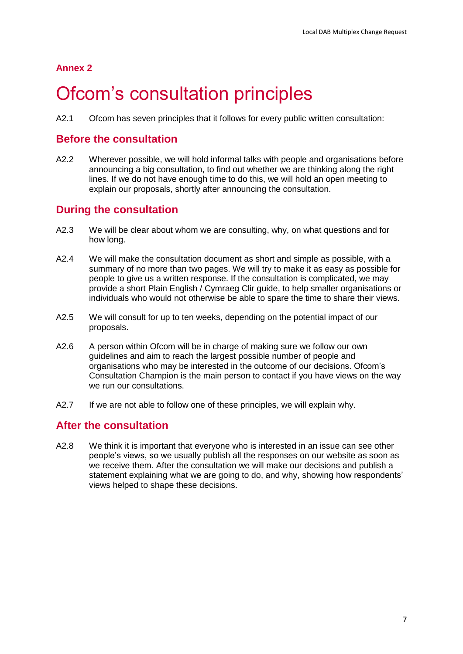# <span id="page-9-0"></span>Ofcom's consultation principles

A2.1 Ofcom has seven principles that it follows for every public written consultation:

### **Before the consultation**

A2.2 Wherever possible, we will hold informal talks with people and organisations before announcing a big consultation, to find out whether we are thinking along the right lines. If we do not have enough time to do this, we will hold an open meeting to explain our proposals, shortly after announcing the consultation.

### **During the consultation**

- A2.3 We will be clear about whom we are consulting, why, on what questions and for how long.
- A2.4 We will make the consultation document as short and simple as possible, with a summary of no more than two pages. We will try to make it as easy as possible for people to give us a written response. If the consultation is complicated, we may provide a short Plain English / Cymraeg Clir guide, to help smaller organisations or individuals who would not otherwise be able to spare the time to share their views.
- A2.5 We will consult for up to ten weeks, depending on the potential impact of our proposals.
- A2.6 A person within Ofcom will be in charge of making sure we follow our own guidelines and aim to reach the largest possible number of people and organisations who may be interested in the outcome of our decisions. Ofcom's Consultation Champion is the main person to contact if you have views on the way we run our consultations.
- A2.7 If we are not able to follow one of these principles, we will explain why.

### **After the consultation**

A2.8 We think it is important that everyone who is interested in an issue can see other people's views, so we usually publish all the responses on our website as soon as we receive them. After the consultation we will make our decisions and publish a statement explaining what we are going to do, and why, showing how respondents' views helped to shape these decisions.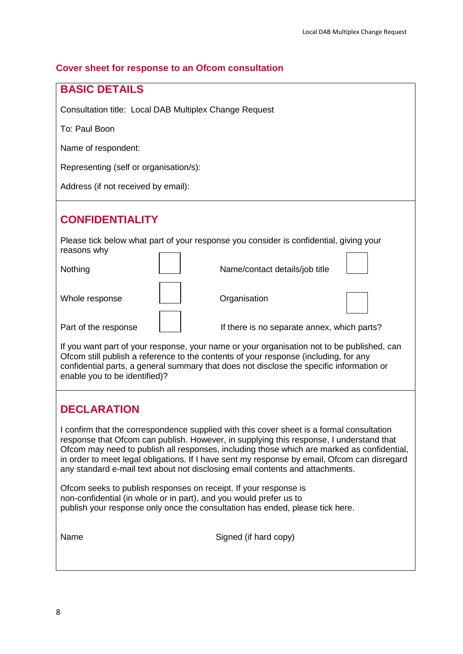#### **Cover sheet for response to an Ofcom consultation**

| <b>BASIC DETAILS</b> |
|----------------------|
|                      |

Consultation title: Local DAB Multiplex Change Request

To: Paul Boon

Name of respondent:

Representing (self or organisation/s):

Address (if not received by email):

## **CONFIDENTIALITY**

Please tick below what part of your response you consider is confidential, giving your reasons why  $\overline{ }$ ┑  $\overline{\phantom{0}}$ ┑

| Nothing              | Name/contact details/job title              |  |
|----------------------|---------------------------------------------|--|
| Whole response       | Organisation                                |  |
| Part of the response | If there is no separate annex, which parts? |  |

If you want part of your response, your name or your organisation not to be published, can Ofcom still publish a reference to the contents of your response (including, for any confidential parts, a general summary that does not disclose the specific information or enable you to be identified)?

### **DECLARATION**

I confirm that the correspondence supplied with this cover sheet is a formal consultation response that Ofcom can publish. However, in supplying this response, I understand that Ofcom may need to publish all responses, including those which are marked as confidential, in order to meet legal obligations. If I have sent my response by email, Ofcom can disregard any standard e-mail text about not disclosing email contents and attachments.

Ofcom seeks to publish responses on receipt. If your response is non-confidential (in whole or in part), and you would prefer us to publish your response only once the consultation has ended, please tick here.

Name Signed (if hard copy)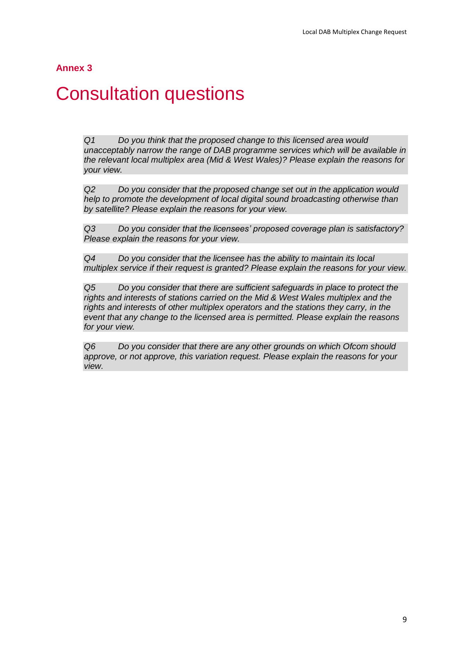# <span id="page-11-0"></span>**Consultation questions**

*Q1 Do you think that the proposed change to this licensed area would unacceptably narrow the range of DAB programme services which will be available in the relevant local multiplex area (Mid & West Wales)? Please explain the reasons for your view.*

*Q2 Do you consider that the proposed change set out in the application would help to promote the development of local digital sound broadcasting otherwise than by satellite? Please explain the reasons for your view.*

*Q3 Do you consider that the licensees' proposed coverage plan is satisfactory? Please explain the reasons for your view.*

*Q4 Do you consider that the licensee has the ability to maintain its local multiplex service if their request is granted? Please explain the reasons for your view.*

*Q5 Do you consider that there are sufficient safeguards in place to protect the rights and interests of stations carried on the Mid & West Wales multiplex and the rights and interests of other multiplex operators and the stations they carry, in the event that any change to the licensed area is permitted. Please explain the reasons for your view.*

*Q6 Do you consider that there are any other grounds on which Ofcom should approve, or not approve, this variation request. Please explain the reasons for your view.*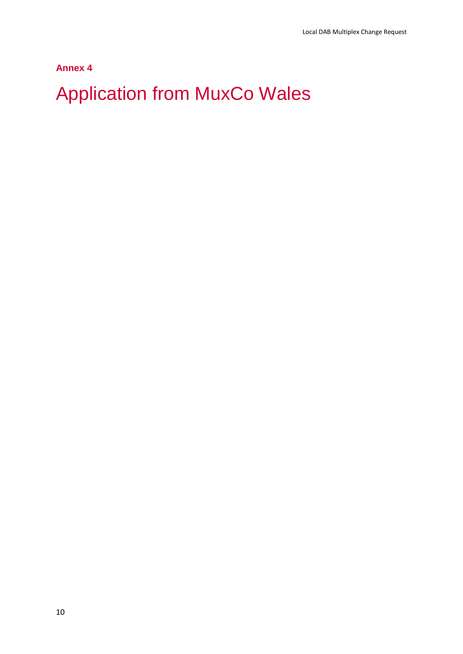# <span id="page-12-0"></span>Application from MuxCo Wales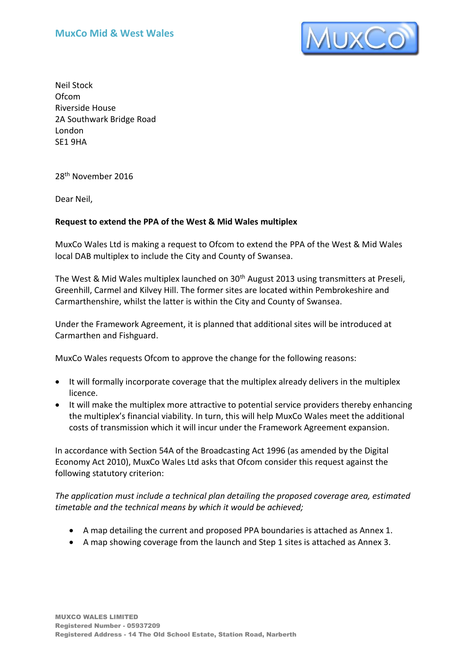

Neil Stock Ofcom Riverside House 2A Southwark Bridge Road London SE1 9HA

28th November 2016

Dear Neil,

#### **Request to extend the PPA of the West & Mid Wales multiplex**

MuxCo Wales Ltd is making a request to Ofcom to extend the PPA of the West & Mid Wales local DAB multiplex to include the City and County of Swansea.

The West & Mid Wales multiplex launched on 30<sup>th</sup> August 2013 using transmitters at Preseli, Greenhill, Carmel and Kilvey Hill. The former sites are located within Pembrokeshire and Carmarthenshire, whilst the latter is within the City and County of Swansea.

Under the Framework Agreement, it is planned that additional sites will be introduced at Carmarthen and Fishguard.

MuxCo Wales requests Ofcom to approve the change for the following reasons:

- It will formally incorporate coverage that the multiplex already delivers in the multiplex licence.
- It will make the multiplex more attractive to potential service providers thereby enhancing the multiplex's financial viability. In turn, this will help MuxCo Wales meet the additional costs of transmission which it will incur under the Framework Agreement expansion.

In accordance with Section 54A of the Broadcasting Act 1996 (as amended by the Digital Economy Act 2010), MuxCo Wales Ltd asks that Ofcom consider this request against the following statutory criterion:

*The application must include a technical plan detailing the proposed coverage area, estimated timetable and the technical means by which it would be achieved;* 

- A map detailing the current and proposed PPA boundaries is attached as Annex 1.
- A map showing coverage from the launch and Step 1 sites is attached as Annex 3.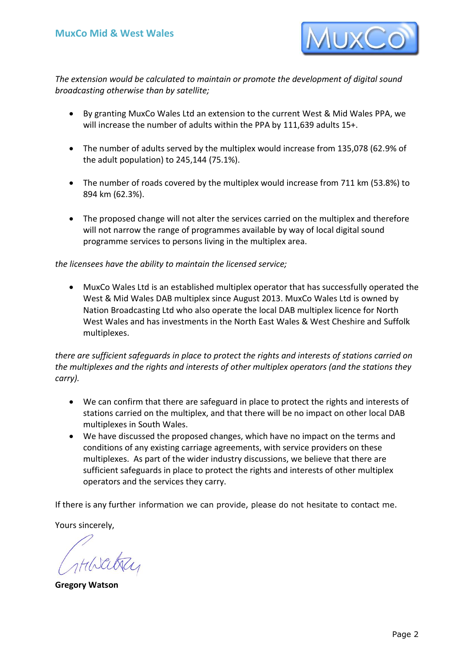

*The extension would be calculated to maintain or promote the development of digital sound broadcasting otherwise than by satellite;* 

- By granting MuxCo Wales Ltd an extension to the current West & Mid Wales PPA, we will increase the number of adults within the PPA by 111,639 adults 15+.
- The number of adults served by the multiplex would increase from 135,078 (62.9% of the adult population) to 245,144 (75.1%).
- The number of roads covered by the multiplex would increase from 711 km (53.8%) to 894 km (62.3%).
- The proposed change will not alter the services carried on the multiplex and therefore will not narrow the range of programmes available by way of local digital sound programme services to persons living in the multiplex area.

#### *the licensees have the ability to maintain the licensed service;*

 MuxCo Wales Ltd is an established multiplex operator that has successfully operated the West & Mid Wales DAB multiplex since August 2013. MuxCo Wales Ltd is owned by Nation Broadcasting Ltd who also operate the local DAB multiplex licence for North West Wales and has investments in the North East Wales & West Cheshire and Suffolk multiplexes.

*there are sufficient safeguards in place to protect the rights and interests of stations carried on the multiplexes and the rights and interests of other multiplex operators (and the stations they carry).* 

- We can confirm that there are safeguard in place to protect the rights and interests of stations carried on the multiplex, and that there will be no impact on other local DAB multiplexes in South Wales.
- We have discussed the proposed changes, which have no impact on the terms and conditions of any existing carriage agreements, with service providers on these multiplexes. As part of the wider industry discussions, we believe that there are sufficient safeguards in place to protect the rights and interests of other multiplex operators and the services they carry.

If there is any further information we can provide, please do not hesitate to contact me.

Yours sincerely,

**Gregory Watson**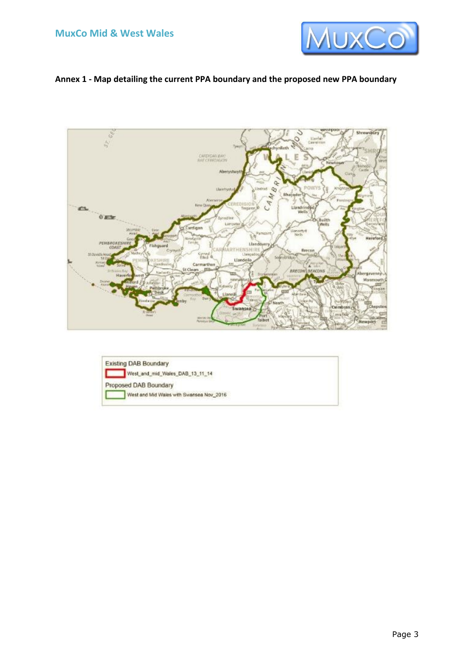

#### **Annex 1 - Map detailing the current PPA boundary and the proposed new PPA boundary**



**Existing DAB Boundary** West\_and\_mid\_Wales\_DAB\_13\_11\_14 г Proposed DAB Boundary West and Mid Wales with Swansea Nov\_2016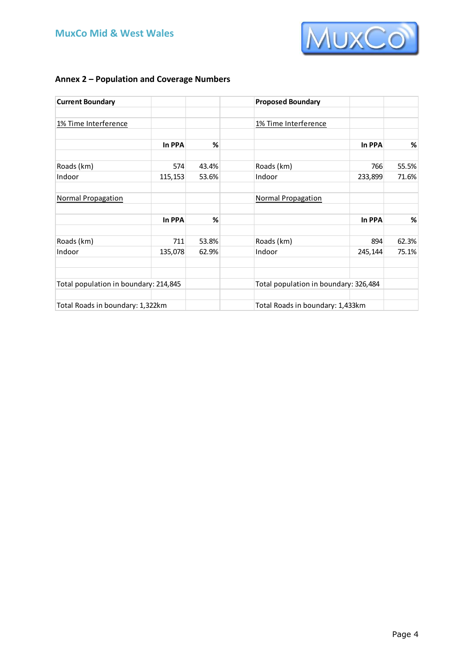

### **Annex 2 – Population and Coverage Numbers**

| <b>Current Boundary</b>               |         |                                       | <b>Proposed Boundary</b>         |         |       |
|---------------------------------------|---------|---------------------------------------|----------------------------------|---------|-------|
| 1% Time Interference                  |         |                                       | 1% Time Interference             |         |       |
|                                       | In PPA  | %                                     |                                  | In PPA  | %     |
| Roads (km)                            | 574     | 43.4%                                 | Roads (km)                       | 766     | 55.5% |
| Indoor                                | 115,153 | 53.6%                                 | Indoor                           | 233,899 | 71.6% |
| Normal Propagation                    |         |                                       | Normal Propagation               |         |       |
|                                       | In PPA  | %                                     |                                  | In PPA  | $\%$  |
| Roads (km)                            | 711     | 53.8%                                 | Roads (km)                       | 894     | 62.3% |
| Indoor                                | 135,078 | 62.9%                                 | Indoor                           | 245,144 | 75.1% |
| Total population in boundary: 214,845 |         | Total population in boundary: 326,484 |                                  |         |       |
| Total Roads in boundary: 1,322km      |         |                                       | Total Roads in boundary: 1,433km |         |       |